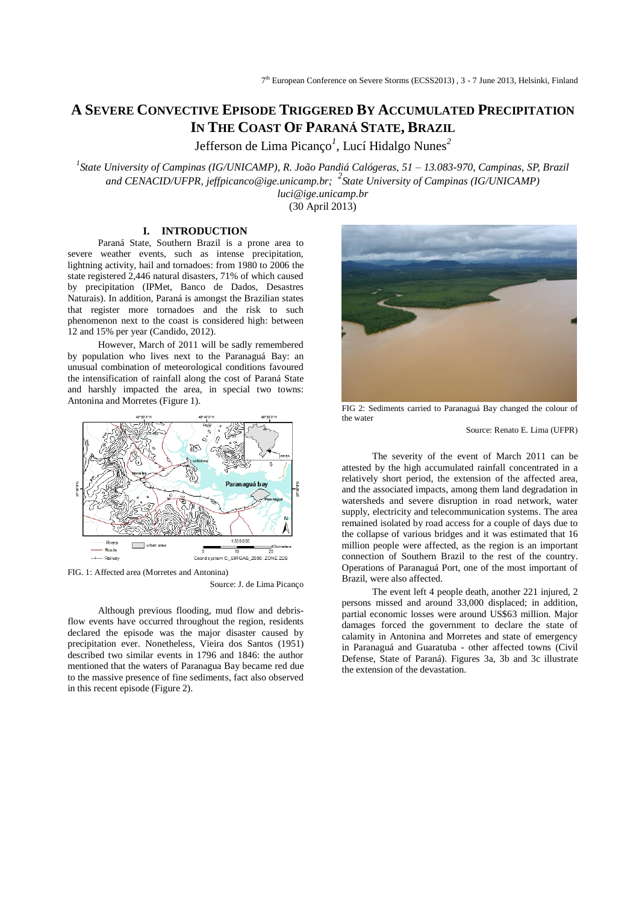# **A SEVERE CONVECTIVE EPISODE TRIGGERED BY ACCUMULATED PRECIPITATION IN THE COAST OF PARANÁ STATE, BRAZIL**

Jefferson de Lima Picanço*<sup>1</sup>* , Lucí Hidalgo Nunes*<sup>2</sup>*

*1 State University of Campinas (IG/UNICAMP), R. João Pandiá Calógeras, 51 – 13.083-970, Campinas, SP, Brazil and CENACID/UFPR, jeffpicanco@ige.unicamp.br; 2 State University of Campinas (IG/UNICAMP) luci@ige.unicamp.br*

(30 April 2013)

### **I. INTRODUCTION**

Paraná State, Southern Brazil is a prone area to severe weather events, such as intense precipitation, lightning activity, hail and tornadoes: from 1980 to 2006 the state registered 2,446 natural disasters, 71% of which caused by precipitation (IPMet, Banco de Dados, Desastres Naturais). In addition, Paraná is amongst the Brazilian states that register more tornadoes and the risk to such phenomenon next to the coast is considered high: between 12 and 15% per year (Candido, 2012).

However, March of 2011 will be sadly remembered by population who lives next to the Paranaguá Bay: an unusual combination of meteorological conditions favoured the intensification of rainfall along the cost of Paraná State and harshly impacted the area, in special two towns: Antonina and Morretes (Figure 1).



FIG. 1: Affected area (Morretes and Antonina)

Source: J. de Lima Picanço

Although previous flooding, mud flow and debrisflow events have occurred throughout the region, residents declared the episode was the major disaster caused by precipitation ever. Nonetheless, Vieira dos Santos (1951) described two similar events in 1796 and 1846: the author mentioned that the waters of Paranagua Bay became red due to the massive presence of fine sediments, fact also observed in this recent episode (Figure 2).



FIG 2: Sediments carried to Paranaguá Bay changed the colour of the water

Source: Renato E. Lima (UFPR)

The severity of the event of March 2011 can be attested by the high accumulated rainfall concentrated in a relatively short period, the extension of the affected area, and the associated impacts, among them land degradation in watersheds and severe disruption in road network, water supply, electricity and telecommunication systems. The area remained isolated by road access for a couple of days due to the collapse of various bridges and it was estimated that 16 million people were affected, as the region is an important connection of Southern Brazil to the rest of the country. Operations of Paranaguá Port, one of the most important of Brazil, were also affected.

The event left 4 people death, another 221 injured, 2 persons missed and around 33,000 displaced; in addition, partial economic losses were around US\$63 million. Major damages forced the government to declare the state of calamity in Antonina and Morretes and state of emergency in Paranaguá and Guaratuba - other affected towns (Civil Defense, State of Paraná). Figures 3a, 3b and 3c illustrate the extension of the devastation.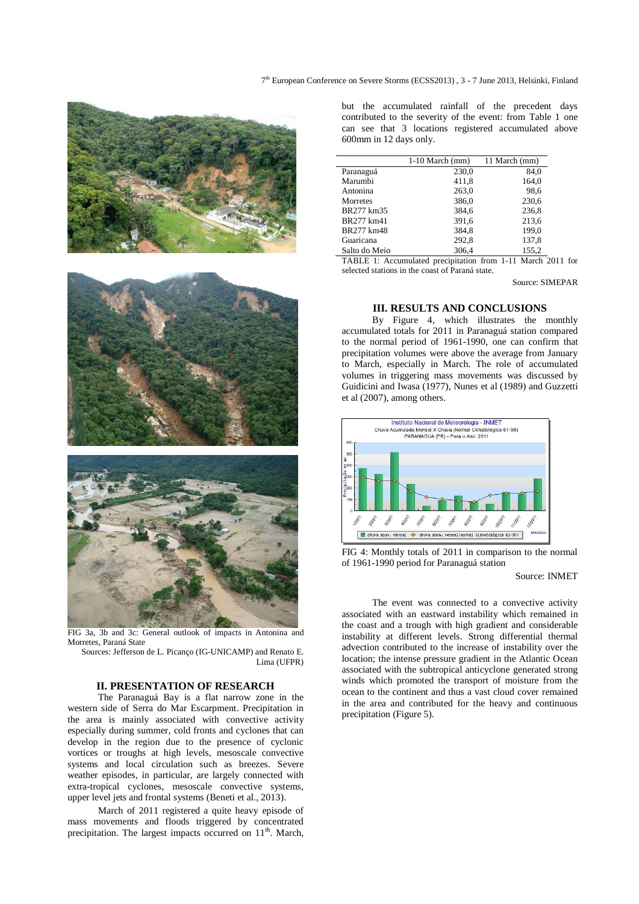





FIG 3a, 3b and 3c: General outlook of impacts in Antonina and Morretes, Paraná State

Sources: Jefferson de L. Picanço (IG-UNICAMP) and Renato E. Lima (UFPR)

## **II. PRESENTATION OF RESEARCH**

The Paranaguá Bay is a flat narrow zone in the western side of Serra do Mar Escarpment. Precipitation in the area is mainly associated with convective activity especially during summer, cold fronts and cyclones that can develop in the region due to the presence of cyclonic vortices or troughs at high levels, mesoscale convective systems and local circulation such as breezes. Severe weather episodes, in particular, are largely connected with extra-tropical cyclones, mesoscale convective systems, upper level jets and frontal systems (Beneti et al., 2013).

March of 2011 registered a quite heavy episode of mass movements and floods triggered by concentrated precipitation. The largest impacts occurred on 11<sup>th</sup>. March, but the accumulated rainfall of the precedent days contributed to the severity of the event: from Table 1 one can see that 3 locations registered accumulated above 600mm in 12 days only.

|               | $1-10$ March (mm) | 11 March (mm) |
|---------------|-------------------|---------------|
| Paranaguá     | 230,0             | 84.0          |
| Marumbi       | 411,8             | 164,0         |
| Antonina      | 263,0             | 98,6          |
| Morretes      | 386,0             | 230,6         |
| BR277 km35    | 384.6             | 236,8         |
| BR277 km41    | 391,6             | 213,6         |
| BR277 km48    | 384,8             | 199,0         |
| Guaricana     | 292,8             | 137,8         |
| Salto do Meio | 306.4             | 155.2         |

TABLE 1: Accumulated precipitation from 1-11 March 2011 for selected stations in the coast of Paraná state.

Source: SIMEPAR

#### **III. RESULTS AND CONCLUSIONS**

By Figure 4, which illustrates the monthly accumulated totals for 2011 in Paranaguá station compared to the normal period of 1961-1990, one can confirm that precipitation volumes were above the average from January to March, especially in March. The role of accumulated volumes in triggering mass movements was discussed by Guidicini and Iwasa (1977), Nunes et al (1989) and Guzzetti et al (2007), among others.



FIG 4: Monthly totals of 2011 in comparison to the normal of 1961-1990 period for Paranaguá station

#### Source: INMET

The event was connected to a convective activity associated with an eastward instability which remained in the coast and a trough with high gradient and considerable instability at different levels. Strong differential thermal advection contributed to the increase of instability over the location; the intense pressure gradient in the Atlantic Ocean associated with the subtropical anticyclone generated strong winds which promoted the transport of moisture from the ocean to the continent and thus a vast cloud cover remained in the area and contributed for the heavy and continuous precipitation (Figure 5).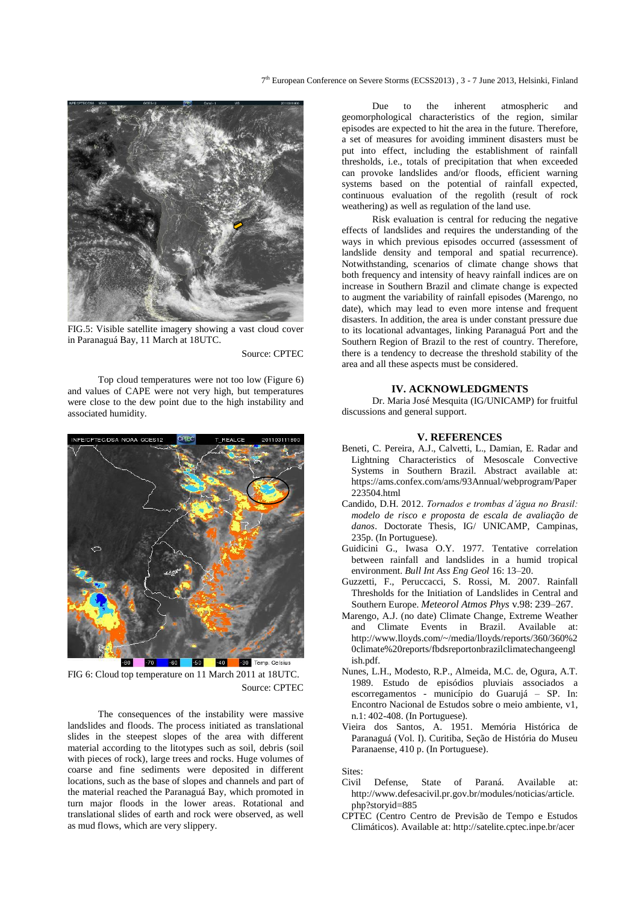

FIG.5: Visible satellite imagery showing a vast cloud cover in Paranaguá Bay, 11 March at 18UTC.

Source: CPTEC

Top cloud temperatures were not too low (Figure 6) and values of CAPE were not very high, but temperatures were close to the dew point due to the high instability and associated humidity.



FIG 6: Cloud top temperature on 11 March 2011 at 18UTC. Source: CPTEC

The consequences of the instability were massive landslides and floods. The process initiated as translational slides in the steepest slopes of the area with different material according to the litotypes such as soil, debris (soil with pieces of rock), large trees and rocks. Huge volumes of coarse and fine sediments were deposited in different locations, such as the base of slopes and channels and part of the material reached the Paranaguá Bay, which promoted in turn major floods in the lower areas. Rotational and translational slides of earth and rock were observed, as well as mud flows, which are very slippery.

Due to the inherent atmospheric and geomorphological characteristics of the region, similar episodes are expected to hit the area in the future. Therefore, a set of measures for avoiding imminent disasters must be put into effect, including the establishment of rainfall thresholds, i.e., totals of precipitation that when exceeded can provoke landslides and/or floods, efficient warning systems based on the potential of rainfall expected, continuous evaluation of the regolith (result of rock weathering) as well as regulation of the land use.

Risk evaluation is central for reducing the negative effects of landslides and requires the understanding of the ways in which previous episodes occurred (assessment of landslide density and temporal and spatial recurrence). Notwithstanding, scenarios of climate change shows that both frequency and intensity of heavy rainfall indices are on increase in Southern Brazil and climate change is expected to augment the variability of rainfall episodes (Marengo, no date), which may lead to even more intense and frequent disasters. In addition, the area is under constant pressure due to its locational advantages, linking Paranaguá Port and the Southern Region of Brazil to the rest of country. Therefore, there is a tendency to decrease the threshold stability of the area and all these aspects must be considered.

#### **IV. ACKNOWLEDGMENTS**

Dr. Maria José Mesquita (IG/UNICAMP) for fruitful discussions and general support.

#### **V. REFERENCES**

- Beneti, C. Pereira, A.J., Calvetti, L., Damian, E. Radar and Lightning Characteristics of Mesoscale Convective Systems in Southern Brazil. Abstract available at: https://ams.confex.com/ams/93Annual/webprogram/Paper 223504.html
- Candido, D.H. 2012. *Tornados e trombas d'água no Brasil: modelo de risco e proposta de escala de avaliação de danos*. Doctorate Thesis, IG/ UNICAMP, Campinas, 235p. (In Portuguese).
- Guidicini G., Iwasa O.Y. 1977. Tentative correlation between rainfall and landslides in a humid tropical environment. *Bull Int Ass Eng Geol* 16: 13–20.
- Guzzetti, F., Peruccacci, S. Rossi, M. 2007. Rainfall Thresholds for the Initiation of Landslides in Central and Southern Europe. *Meteorol Atmos Phys* v.98: 239–267.
- Marengo, A.J. (no date) Climate Change, Extreme Weather and Climate Events in Brazil. Available at: http://www.lloyds.com/~/media/lloyds/reports/360/360%2 0climate%20reports/fbdsreportonbrazilclimatechangeengl ish.pdf.
- Nunes, L.H., Modesto, R.P., Almeida, M.C. de, Ogura, A.T. 1989. Estudo de episódios pluviais associados a escorregamentos - município do Guarujá – SP. In: Encontro Nacional de Estudos sobre o meio ambiente, v1, n.1: 402-408. (In Portuguese).
- Vieira dos Santos, A. 1951. Memória Histórica de Paranaguá (Vol. I). Curitiba, Seção de História do Museu Paranaense, 410 p. (In Portuguese).

Sites:

- Civil Defense, State of Paraná. Available at: http://www.defesacivil.pr.gov.br/modules/noticias/article. php?storyid=885
- CPTEC (Centro Centro de Previsão de Tempo e Estudos Climáticos). Available at: http://satelite.cptec.inpe.br/acer